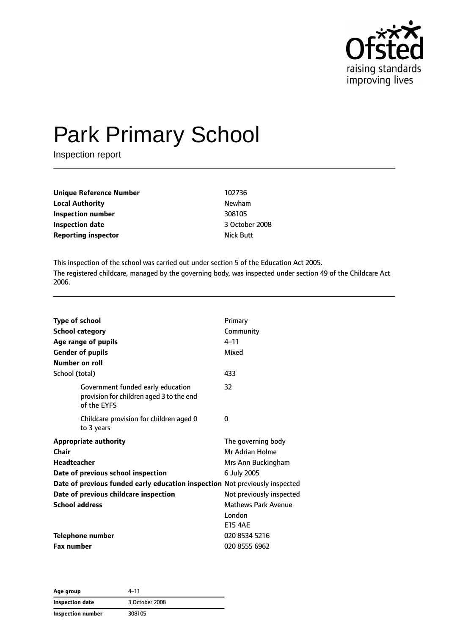

# Park Primary School

Inspection report

| Unique Reference Number    | 102736           |  |
|----------------------------|------------------|--|
| <b>Local Authority</b>     | Newham           |  |
| Inspection number          | 308105           |  |
| <b>Inspection date</b>     | 3 October 2008   |  |
| <b>Reporting inspector</b> | <b>Nick Butt</b> |  |
|                            |                  |  |

This inspection of the school was carried out under section 5 of the Education Act 2005. The registered childcare, managed by the governing body, was inspected under section 49 of the Childcare Act 2006.

| <b>Type of school</b><br><b>School category</b><br>Age range of pupils<br><b>Gender of pupils</b><br>Number on roll                                                              | Primary<br>Community<br>$4 - 11$<br>Mixed                                  |
|----------------------------------------------------------------------------------------------------------------------------------------------------------------------------------|----------------------------------------------------------------------------|
| School (total)                                                                                                                                                                   | 433                                                                        |
| Government funded early education<br>provision for children aged 3 to the end<br>of the EYFS                                                                                     | 32                                                                         |
| Childcare provision for children aged 0<br>to 3 years                                                                                                                            | 0                                                                          |
| <b>Appropriate authority</b><br>Chair<br><b>Headteacher</b><br>Date of previous school inspection<br>Date of previous funded early education inspection Not previously inspected | The governing body<br>Mr Adrian Holme<br>Mrs Ann Buckingham<br>6 July 2005 |
| Date of previous childcare inspection                                                                                                                                            | Not previously inspected                                                   |
| <b>School address</b>                                                                                                                                                            | <b>Mathews Park Avenue</b><br>London<br><b>E15 4AE</b>                     |
| <b>Telephone number</b>                                                                                                                                                          | 020 8534 5216                                                              |
| <b>Fax number</b>                                                                                                                                                                | 020 8555 6962                                                              |

**Age group** 4–11 **Inspection date** 3 October 2008 **Inspection number** 308105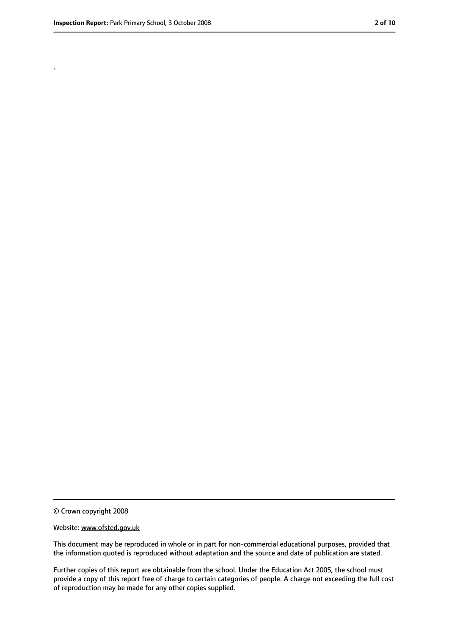.

<sup>©</sup> Crown copyright 2008

Website: www.ofsted.gov.uk

This document may be reproduced in whole or in part for non-commercial educational purposes, provided that the information quoted is reproduced without adaptation and the source and date of publication are stated.

Further copies of this report are obtainable from the school. Under the Education Act 2005, the school must provide a copy of this report free of charge to certain categories of people. A charge not exceeding the full cost of reproduction may be made for any other copies supplied.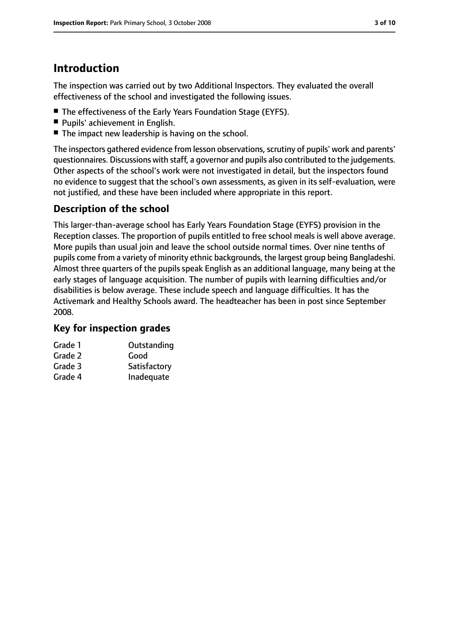# **Introduction**

The inspection was carried out by two Additional Inspectors. They evaluated the overall effectiveness of the school and investigated the following issues.

- The effectiveness of the Early Years Foundation Stage (EYFS).
- Pupils' achievement in English.
- The impact new leadership is having on the school.

The inspectors gathered evidence from lesson observations, scrutiny of pupils' work and parents' questionnaires. Discussions with staff, a governor and pupils also contributed to the judgements. Other aspects of the school's work were not investigated in detail, but the inspectors found no evidence to suggest that the school's own assessments, as given in its self-evaluation, were not justified, and these have been included where appropriate in this report.

## **Description of the school**

This larger-than-average school has Early Years Foundation Stage (EYFS) provision in the Reception classes. The proportion of pupils entitled to free school meals is well above average. More pupils than usual join and leave the school outside normal times. Over nine tenths of pupils come from a variety of minority ethnic backgrounds, the largest group being Bangladeshi. Almost three quarters of the pupils speak English as an additional language, many being at the early stages of language acquisition. The number of pupils with learning difficulties and/or disabilities is below average. These include speech and language difficulties. It has the Activemark and Healthy Schools award. The headteacher has been in post since September 2008.

## **Key for inspection grades**

| Grade 1 | Outstanding  |
|---------|--------------|
| Grade 2 | Good         |
| Grade 3 | Satisfactory |
| Grade 4 | Inadequate   |
|         |              |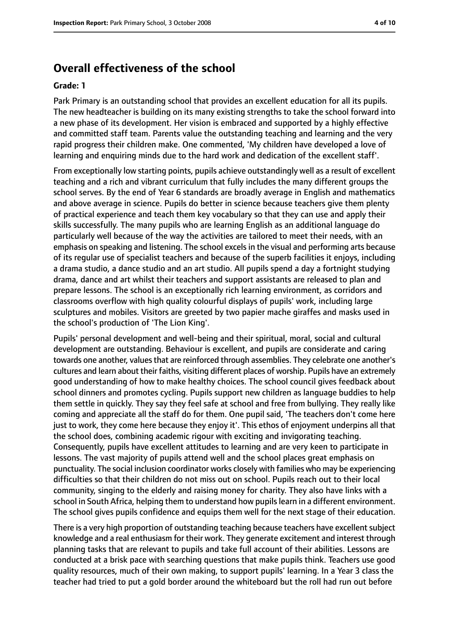# **Overall effectiveness of the school**

#### **Grade: 1**

Park Primary is an outstanding school that provides an excellent education for all its pupils. The new headteacher is building on its many existing strengths to take the school forward into a new phase of its development. Her vision is embraced and supported by a highly effective and committed staff team. Parents value the outstanding teaching and learning and the very rapid progress their children make. One commented, 'My children have developed a love of learning and enquiring minds due to the hard work and dedication of the excellent staff'.

From exceptionally low starting points, pupils achieve outstandingly well as a result of excellent teaching and a rich and vibrant curriculum that fully includes the many different groups the school serves. By the end of Year 6 standards are broadly average in English and mathematics and above average in science. Pupils do better in science because teachers give them plenty of practical experience and teach them key vocabulary so that they can use and apply their skills successfully. The many pupils who are learning English as an additional language do particularly well because of the way the activities are tailored to meet their needs, with an emphasis on speaking and listening. The school excels in the visual and performing arts because of its regular use of specialist teachers and because of the superb facilities it enjoys, including a drama studio, a dance studio and an art studio. All pupils spend a day a fortnight studying drama, dance and art whilst their teachers and support assistants are released to plan and prepare lessons. The school is an exceptionally rich learning environment, as corridors and classrooms overflow with high quality colourful displays of pupils' work, including large sculptures and mobiles. Visitors are greeted by two papier mache giraffes and masks used in the school's production of 'The Lion King'.

Pupils' personal development and well-being and their spiritual, moral, social and cultural development are outstanding. Behaviour is excellent, and pupils are considerate and caring towards one another, values that are reinforced through assemblies. They celebrate one another's cultures and learn about their faiths, visiting different places of worship. Pupils have an extremely good understanding of how to make healthy choices. The school council gives feedback about school dinners and promotes cycling. Pupils support new children as language buddies to help them settle in quickly. They say they feel safe at school and free from bullying. They really like coming and appreciate all the staff do for them. One pupil said, 'The teachers don't come here just to work, they come here because they enjoy it'. This ethos of enjoyment underpins all that the school does, combining academic rigour with exciting and invigorating teaching. Consequently, pupils have excellent attitudes to learning and are very keen to participate in lessons. The vast majority of pupils attend well and the school places great emphasis on punctuality. The social inclusion coordinator works closely with families who may be experiencing difficulties so that their children do not miss out on school. Pupils reach out to their local community, singing to the elderly and raising money for charity. They also have links with a school in South Africa, helping them to understand how pupilslearn in a different environment. The school gives pupils confidence and equips them well for the next stage of their education.

There is a very high proportion of outstanding teaching because teachers have excellent subject knowledge and a real enthusiasm for their work. They generate excitement and interest through planning tasks that are relevant to pupils and take full account of their abilities. Lessons are conducted at a brisk pace with searching questions that make pupils think. Teachers use good quality resources, much of their own making, to support pupils' learning. In a Year 3 class the teacher had tried to put a gold border around the whiteboard but the roll had run out before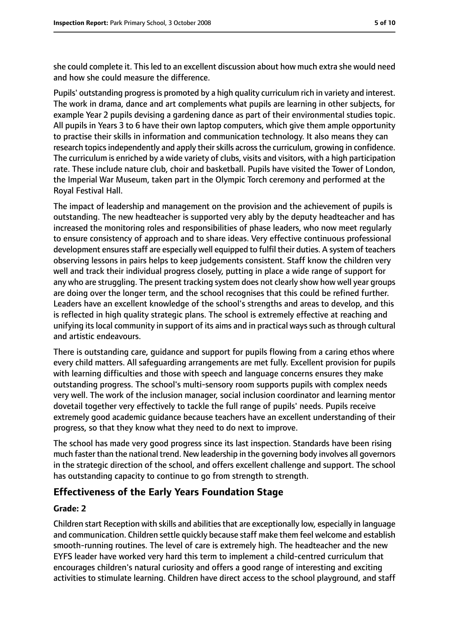she could complete it. This led to an excellent discussion about how much extra she would need and how she could measure the difference.

Pupils' outstanding progress is promoted by a high quality curriculum rich in variety and interest. The work in drama, dance and art complements what pupils are learning in other subjects, for example Year 2 pupils devising a gardening dance as part of their environmental studies topic. All pupils in Years 3 to 6 have their own laptop computers, which give them ample opportunity to practise their skills in information and communication technology. It also means they can research topics independently and apply their skills across the curriculum, growing in confidence. The curriculum is enriched by a wide variety of clubs, visits and visitors, with a high participation rate. These include nature club, choir and basketball. Pupils have visited the Tower of London, the Imperial War Museum, taken part in the Olympic Torch ceremony and performed at the Royal Festival Hall.

The impact of leadership and management on the provision and the achievement of pupils is outstanding. The new headteacher is supported very ably by the deputy headteacher and has increased the monitoring roles and responsibilities of phase leaders, who now meet regularly to ensure consistency of approach and to share ideas. Very effective continuous professional development ensures staff are especially well equipped to fulfil their duties. A system of teachers observing lessons in pairs helps to keep judgements consistent. Staff know the children very well and track their individual progress closely, putting in place a wide range of support for any who are struggling. The present tracking system does not clearly show how well year groups are doing over the longer term, and the school recognises that this could be refined further. Leaders have an excellent knowledge of the school's strengths and areas to develop, and this is reflected in high quality strategic plans. The school is extremely effective at reaching and unifying its local community in support of its aims and in practical ways such as through cultural and artistic endeavours.

There is outstanding care, guidance and support for pupils flowing from a caring ethos where every child matters. All safeguarding arrangements are met fully. Excellent provision for pupils with learning difficulties and those with speech and language concerns ensures they make outstanding progress. The school's multi-sensory room supports pupils with complex needs very well. The work of the inclusion manager, social inclusion coordinator and learning mentor dovetail together very effectively to tackle the full range of pupils' needs. Pupils receive extremely good academic guidance because teachers have an excellent understanding of their progress, so that they know what they need to do next to improve.

The school has made very good progress since its last inspection. Standards have been rising much faster than the national trend. New leadership in the governing body involves all governors in the strategic direction of the school, and offers excellent challenge and support. The school has outstanding capacity to continue to go from strength to strength.

## **Effectiveness of the Early Years Foundation Stage**

#### **Grade: 2**

Children start Reception with skills and abilities that are exceptionally low, especially in language and communication. Children settle quickly because staff make them feel welcome and establish smooth-running routines. The level of care is extremely high. The headteacher and the new EYFS leader have worked very hard this term to implement a child-centred curriculum that encourages children's natural curiosity and offers a good range of interesting and exciting activities to stimulate learning. Children have direct access to the school playground, and staff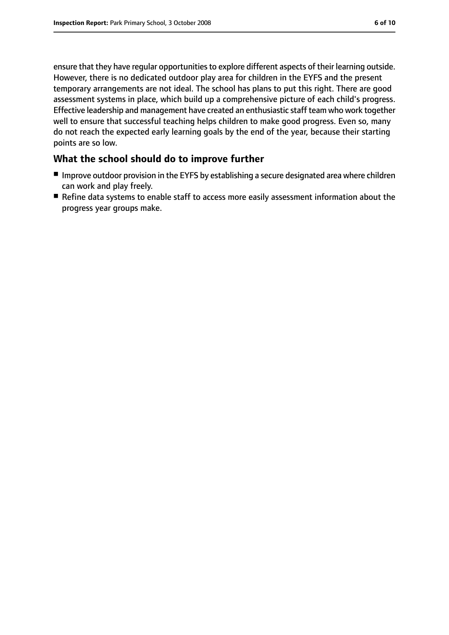ensure that they have regular opportunities to explore different aspects of their learning outside. However, there is no dedicated outdoor play area for children in the EYFS and the present temporary arrangements are not ideal. The school has plans to put this right. There are good assessment systems in place, which build up a comprehensive picture of each child's progress. Effective leadership and management have created an enthusiastic staff team who work together well to ensure that successful teaching helps children to make good progress. Even so, many do not reach the expected early learning goals by the end of the year, because their starting points are so low.

# **What the school should do to improve further**

- Improve outdoor provision in the EYFS by establishing a secure designated area where children can work and play freely.
- Refine data systems to enable staff to access more easily assessment information about the progress year groups make.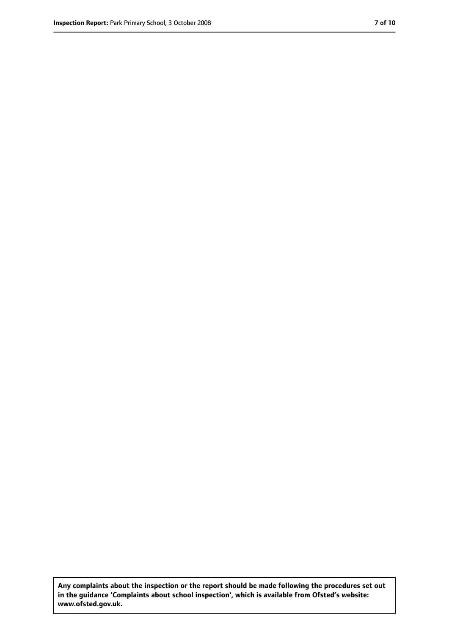**Any complaints about the inspection or the report should be made following the procedures set out in the guidance 'Complaints about school inspection', which is available from Ofsted's website: www.ofsted.gov.uk.**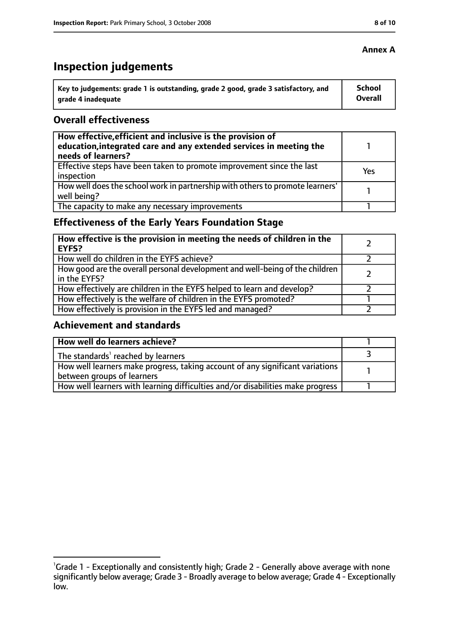# **Inspection judgements**

| \ Key to judgements: grade 1 is outstanding, grade 2 good, grade 3 satisfactory, and | <b>School</b>  |
|--------------------------------------------------------------------------------------|----------------|
| arade 4 inadequate                                                                   | <b>Overall</b> |

#### **Overall effectiveness**

| How effective, efficient and inclusive is the provision of<br>education, integrated care and any extended services in meeting the<br>needs of learners? |     |
|---------------------------------------------------------------------------------------------------------------------------------------------------------|-----|
| Effective steps have been taken to promote improvement since the last<br>inspection                                                                     | Yes |
| How well does the school work in partnership with others to promote learners'<br>well being?                                                            |     |
| The capacity to make any necessary improvements                                                                                                         |     |

# **Effectiveness of the Early Years Foundation Stage**

| How effective is the provision in meeting the needs of children in the<br>l EYFS?            |  |
|----------------------------------------------------------------------------------------------|--|
| How well do children in the EYFS achieve?                                                    |  |
| How good are the overall personal development and well-being of the children<br>in the EYFS? |  |
| How effectively are children in the EYFS helped to learn and develop?                        |  |
| How effectively is the welfare of children in the EYFS promoted?                             |  |
| How effectively is provision in the EYFS led and managed?                                    |  |

#### **Achievement and standards**

| How well do learners achieve?                                                  |  |
|--------------------------------------------------------------------------------|--|
| $\vert$ The standards <sup>1</sup> reached by learners                         |  |
| How well learners make progress, taking account of any significant variations  |  |
| between groups of learners                                                     |  |
| How well learners with learning difficulties and/or disabilities make progress |  |

#### **Annex A**

<sup>&</sup>lt;sup>1</sup>Grade 1 - Exceptionally and consistently high; Grade 2 - Generally above average with none significantly below average; Grade 3 - Broadly average to below average; Grade 4 - Exceptionally low.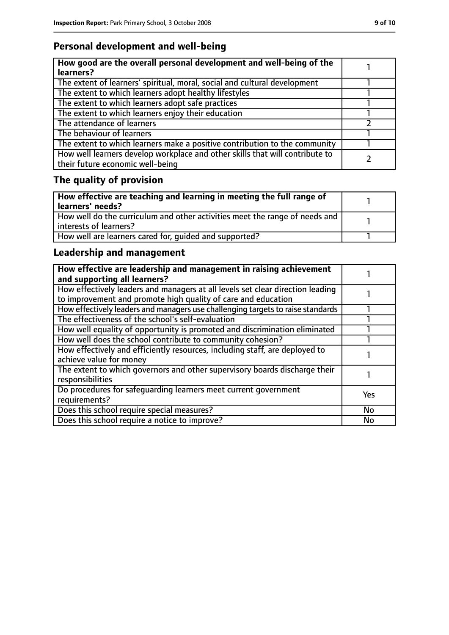# **Personal development and well-being**

| How good are the overall personal development and well-being of the<br>learners?                                 |  |
|------------------------------------------------------------------------------------------------------------------|--|
| The extent of learners' spiritual, moral, social and cultural development                                        |  |
| The extent to which learners adopt healthy lifestyles                                                            |  |
| The extent to which learners adopt safe practices                                                                |  |
| The extent to which learners enjoy their education                                                               |  |
| The attendance of learners                                                                                       |  |
| The behaviour of learners                                                                                        |  |
| The extent to which learners make a positive contribution to the community                                       |  |
| How well learners develop workplace and other skills that will contribute to<br>their future economic well-being |  |

# **The quality of provision**

| How effective are teaching and learning in meeting the full range of<br>learners' needs?              |  |
|-------------------------------------------------------------------------------------------------------|--|
| How well do the curriculum and other activities meet the range of needs and<br>interests of learners? |  |
| How well are learners cared for, quided and supported?                                                |  |

# **Leadership and management**

| How effective are leadership and management in raising achievement<br>and supporting all learners?                                              |            |
|-------------------------------------------------------------------------------------------------------------------------------------------------|------------|
| How effectively leaders and managers at all levels set clear direction leading<br>to improvement and promote high quality of care and education |            |
| How effectively leaders and managers use challenging targets to raise standards                                                                 |            |
| The effectiveness of the school's self-evaluation                                                                                               |            |
| How well equality of opportunity is promoted and discrimination eliminated                                                                      |            |
| How well does the school contribute to community cohesion?                                                                                      |            |
| How effectively and efficiently resources, including staff, are deployed to<br>achieve value for money                                          |            |
| The extent to which governors and other supervisory boards discharge their<br>responsibilities                                                  |            |
| Do procedures for safequarding learners meet current government<br>requirements?                                                                | <b>Yes</b> |
| Does this school require special measures?                                                                                                      | <b>No</b>  |
| Does this school require a notice to improve?                                                                                                   | No         |